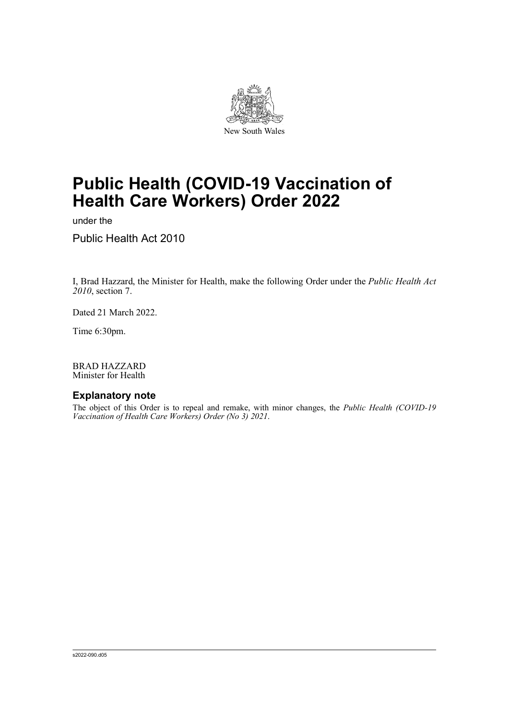

# **Public Health (COVID-19 Vaccination of Health Care Workers) Order 2022**

under the

Public Health Act 2010

I, Brad Hazzard, the Minister for Health, make the following Order under the *Public Health Act 2010*, section 7.

Dated 21 March 2022.

Time 6:30pm.

BRAD HAZZARD Minister for Health

### **Explanatory note**

The object of this Order is to repeal and remake, with minor changes, the *Public Health (COVID-19 Vaccination of Health Care Workers) Order (No 3) 2021*.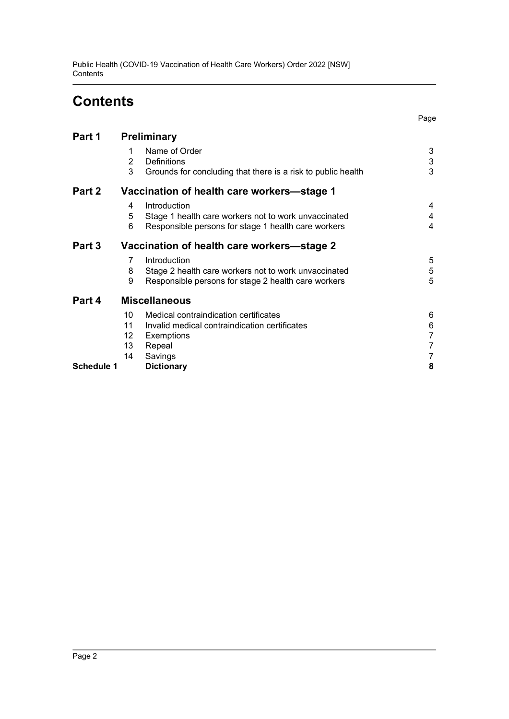Public Health (COVID-19 Vaccination of Health Care Workers) Order 2022 [NSW] **Contents** 

# **Contents**

Page

| Part 1            | Preliminary                                |                                                                                                     |                |
|-------------------|--------------------------------------------|-----------------------------------------------------------------------------------------------------|----------------|
|                   | 1<br>2<br>3                                | Name of Order<br><b>Definitions</b><br>Grounds for concluding that there is a risk to public health | 3<br>3<br>3    |
| Part 2            | Vaccination of health care workers—stage 1 |                                                                                                     |                |
|                   | 4                                          | Introduction                                                                                        | 4              |
|                   | 5                                          | Stage 1 health care workers not to work unvaccinated                                                | 4              |
|                   | 6                                          | Responsible persons for stage 1 health care workers                                                 | 4              |
| Part 3            | Vaccination of health care workers-stage 2 |                                                                                                     |                |
|                   | 7                                          | Introduction                                                                                        | 5              |
|                   | 8                                          | Stage 2 health care workers not to work unvaccinated                                                | 5              |
|                   | 9                                          | Responsible persons for stage 2 health care workers                                                 | 5              |
| Part 4            | <b>Miscellaneous</b>                       |                                                                                                     |                |
|                   | 10                                         | Medical contraindication certificates                                                               | 6              |
|                   | 11                                         | Invalid medical contraindication certificates                                                       | 6              |
|                   | 12                                         | Exemptions                                                                                          | $\overline{7}$ |
|                   | 13                                         | Repeal                                                                                              | 7              |
|                   | 14                                         | Savings                                                                                             | 7              |
| <b>Schedule 1</b> |                                            | <b>Dictionary</b>                                                                                   | 8              |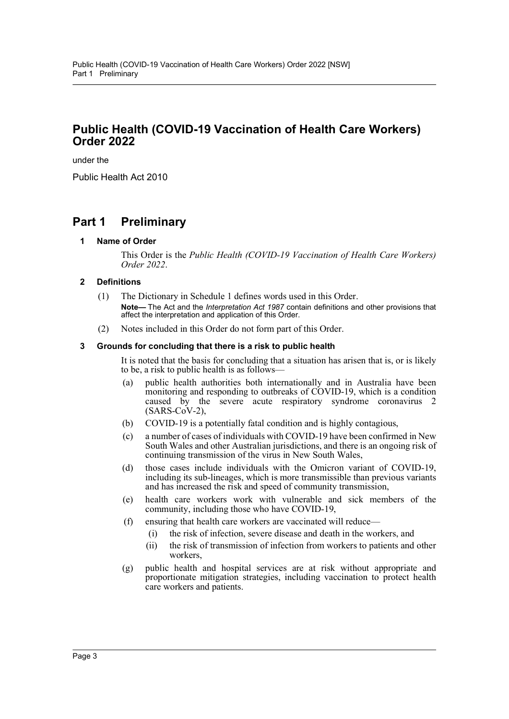## **Public Health (COVID-19 Vaccination of Health Care Workers) Order 2022**

under the

Public Health Act 2010

# <span id="page-2-1"></span><span id="page-2-0"></span>**Part 1 Preliminary**

#### **1 Name of Order**

This Order is the *Public Health (COVID-19 Vaccination of Health Care Workers) Order 2022*.

### <span id="page-2-2"></span>**2 Definitions**

- (1) The Dictionary in Schedule 1 defines words used in this Order. **Note—** The Act and the *Interpretation Act 1987* contain definitions and other provisions that affect the interpretation and application of this Order.
- (2) Notes included in this Order do not form part of this Order.

#### <span id="page-2-3"></span>**3 Grounds for concluding that there is a risk to public health**

It is noted that the basis for concluding that a situation has arisen that is, or is likely to be, a risk to public health is as follows—

- (a) public health authorities both internationally and in Australia have been monitoring and responding to outbreaks of COVID-19, which is a condition caused by the severe acute respiratory syndrome coronavirus 2  $(SARS-CoV-2)$ ,
- (b) COVID-19 is a potentially fatal condition and is highly contagious,
- (c) a number of cases of individuals with COVID-19 have been confirmed in New South Wales and other Australian jurisdictions, and there is an ongoing risk of continuing transmission of the virus in New South Wales,
- (d) those cases include individuals with the Omicron variant of COVID-19, including its sub-lineages, which is more transmissible than previous variants and has increased the risk and speed of community transmission,
- (e) health care workers work with vulnerable and sick members of the community, including those who have COVID-19,
- (f) ensuring that health care workers are vaccinated will reduce—
	- (i) the risk of infection, severe disease and death in the workers, and
		- (ii) the risk of transmission of infection from workers to patients and other workers,
- (g) public health and hospital services are at risk without appropriate and proportionate mitigation strategies, including vaccination to protect health care workers and patients.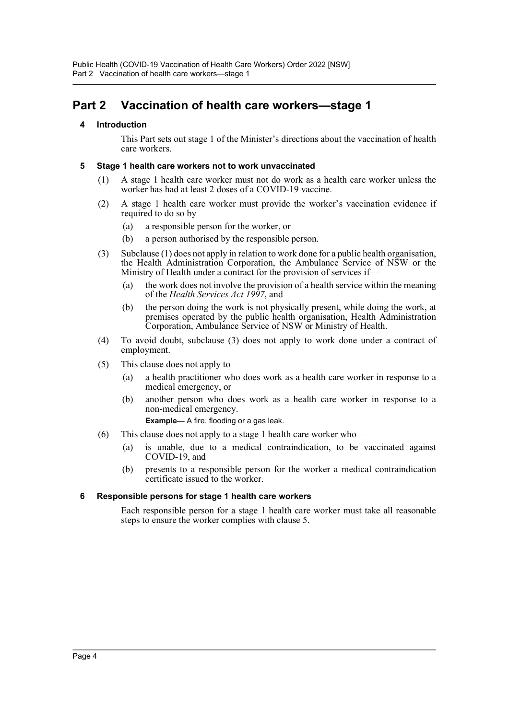# <span id="page-3-1"></span><span id="page-3-0"></span>**Part 2 Vaccination of health care workers—stage 1**

### **4 Introduction**

This Part sets out stage 1 of the Minister's directions about the vaccination of health care workers.

#### <span id="page-3-2"></span>**5 Stage 1 health care workers not to work unvaccinated**

- (1) A stage 1 health care worker must not do work as a health care worker unless the worker has had at least 2 doses of a COVID-19 vaccine.
- (2) A stage 1 health care worker must provide the worker's vaccination evidence if required to do so by—
	- (a) a responsible person for the worker, or
	- (b) a person authorised by the responsible person.
- (3) Subclause (1) does not apply in relation to work done for a public health organisation, the Health Administration Corporation, the Ambulance Service of NSW or the Ministry of Health under a contract for the provision of services if—
	- (a) the work does not involve the provision of a health service within the meaning of the *Health Services Act 1997*, and
	- (b) the person doing the work is not physically present, while doing the work, at premises operated by the public health organisation, Health Administration Corporation, Ambulance Service of NSW or Ministry of Health.
- (4) To avoid doubt, subclause (3) does not apply to work done under a contract of employment.
- (5) This clause does not apply to—
	- (a) a health practitioner who does work as a health care worker in response to a medical emergency, or
	- (b) another person who does work as a health care worker in response to a non-medical emergency.

**Example—** A fire, flooding or a gas leak.

- (6) This clause does not apply to a stage 1 health care worker who—
	- (a) is unable, due to a medical contraindication, to be vaccinated against COVID-19, and
	- (b) presents to a responsible person for the worker a medical contraindication certificate issued to the worker.

#### <span id="page-3-3"></span>**6 Responsible persons for stage 1 health care workers**

Each responsible person for a stage 1 health care worker must take all reasonable steps to ensure the worker complies with clause 5.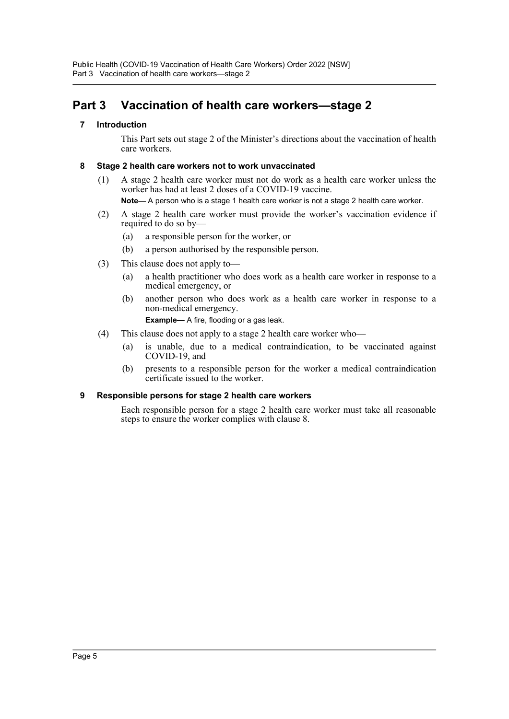# <span id="page-4-1"></span><span id="page-4-0"></span>**Part 3 Vaccination of health care workers—stage 2**

### **7 Introduction**

This Part sets out stage 2 of the Minister's directions about the vaccination of health care workers.

## <span id="page-4-2"></span>**8 Stage 2 health care workers not to work unvaccinated**

(1) A stage 2 health care worker must not do work as a health care worker unless the worker has had at least 2 doses of a COVID-19 vaccine.

**Note—** A person who is a stage 1 health care worker is not a stage 2 health care worker.

- (2) A stage 2 health care worker must provide the worker's vaccination evidence if required to do so by—
	- (a) a responsible person for the worker, or
	- (b) a person authorised by the responsible person.
- (3) This clause does not apply to—
	- (a) a health practitioner who does work as a health care worker in response to a medical emergency, or
	- (b) another person who does work as a health care worker in response to a non-medical emergency.

**Example—** A fire, flooding or a gas leak.

- (4) This clause does not apply to a stage 2 health care worker who—
	- (a) is unable, due to a medical contraindication, to be vaccinated against COVID-19, and
	- (b) presents to a responsible person for the worker a medical contraindication certificate issued to the worker.

### <span id="page-4-3"></span>**9 Responsible persons for stage 2 health care workers**

Each responsible person for a stage 2 health care worker must take all reasonable steps to ensure the worker complies with clause 8.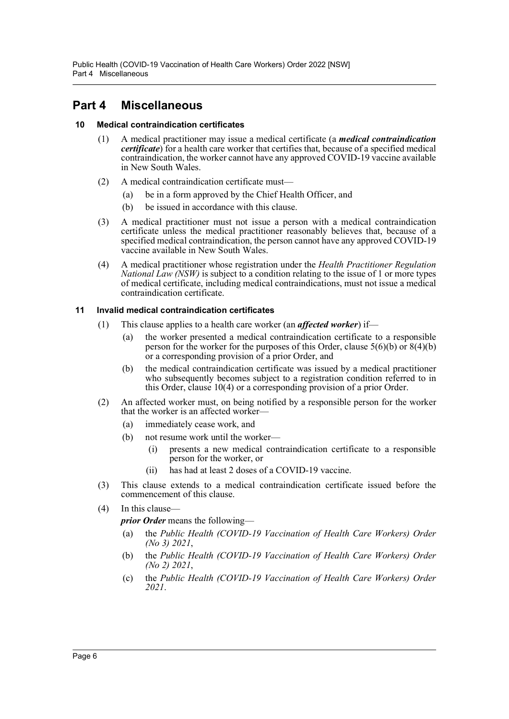# <span id="page-5-0"></span>**Part 4 Miscellaneous**

### <span id="page-5-1"></span>**10 Medical contraindication certificates**

- (1) A medical practitioner may issue a medical certificate (a *medical contraindication certificate*) for a health care worker that certifies that, because of a specified medical contraindication, the worker cannot have any approved COVID-19 vaccine available in New South Wales.
- (2) A medical contraindication certificate must—
	- (a) be in a form approved by the Chief Health Officer, and
	- (b) be issued in accordance with this clause.
- (3) A medical practitioner must not issue a person with a medical contraindication certificate unless the medical practitioner reasonably believes that, because of a specified medical contraindication, the person cannot have any approved COVID-19 vaccine available in New South Wales.
- (4) A medical practitioner whose registration under the *Health Practitioner Regulation National Law (NSW)* is subject to a condition relating to the issue of 1 or more types of medical certificate, including medical contraindications, must not issue a medical contraindication certificate.

### <span id="page-5-2"></span>**11 Invalid medical contraindication certificates**

- (1) This clause applies to a health care worker (an *affected worker*) if—
	- (a) the worker presented a medical contraindication certificate to a responsible person for the worker for the purposes of this Order, clause  $5(6)(b)$  or  $8(4)(b)$ or a corresponding provision of a prior Order, and
	- (b) the medical contraindication certificate was issued by a medical practitioner who subsequently becomes subject to a registration condition referred to in this Order, clause 10(4) or a corresponding provision of a prior Order.
- (2) An affected worker must, on being notified by a responsible person for the worker that the worker is an affected worker—
	- (a) immediately cease work, and
	- (b) not resume work until the worker—
		- (i) presents a new medical contraindication certificate to a responsible person for the worker, or
		- (ii) has had at least 2 doses of a COVID-19 vaccine.
- (3) This clause extends to a medical contraindication certificate issued before the commencement of this clause.
- (4) In this clause
	- *prior Order* means the following—
	- (a) the *Public Health (COVID-19 Vaccination of Health Care Workers) Order (No 3) 2021*,
	- (b) the *Public Health (COVID-19 Vaccination of Health Care Workers) Order (No 2) 2021*,
	- (c) the *Public Health (COVID-19 Vaccination of Health Care Workers) Order 2021*.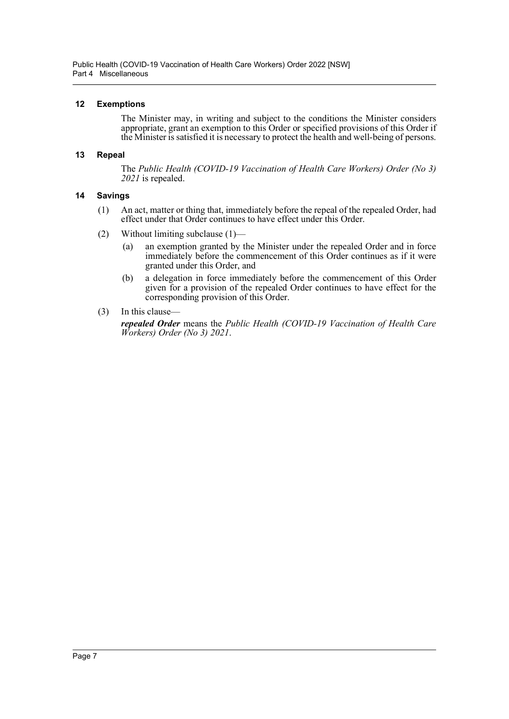### <span id="page-6-0"></span>**12 Exemptions**

The Minister may, in writing and subject to the conditions the Minister considers appropriate, grant an exemption to this Order or specified provisions of this Order if the Minister is satisfied it is necessary to protect the health and well-being of persons.

#### <span id="page-6-1"></span>**13 Repeal**

The *Public Health (COVID-19 Vaccination of Health Care Workers) Order (No 3) 2021* is repealed.

#### <span id="page-6-2"></span>**14 Savings**

- (1) An act, matter or thing that, immediately before the repeal of the repealed Order, had effect under that Order continues to have effect under this Order.
- (2) Without limiting subclause (1)—
	- (a) an exemption granted by the Minister under the repealed Order and in force immediately before the commencement of this Order continues as if it were granted under this Order, and
	- (b) a delegation in force immediately before the commencement of this Order given for a provision of the repealed Order continues to have effect for the corresponding provision of this Order.
- (3) In this clause—

*repealed Order* means the *Public Health (COVID-19 Vaccination of Health Care Workers) Order (No 3) 2021*.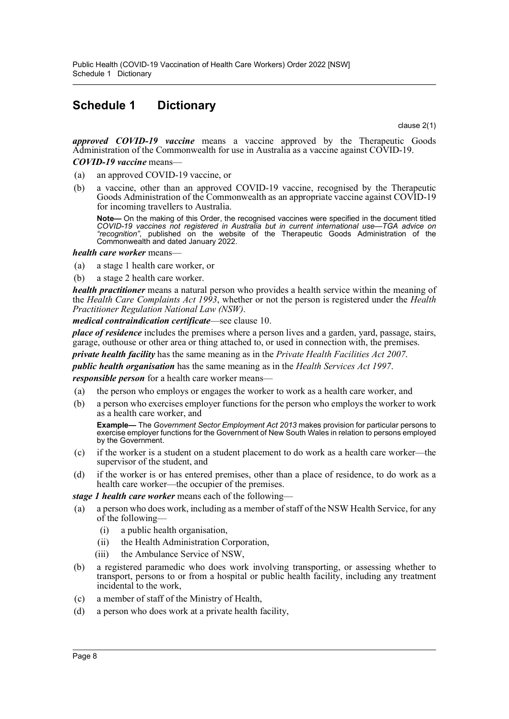# <span id="page-7-0"></span>**Schedule 1 Dictionary**

clause 2(1)

*approved COVID-19 vaccine* means a vaccine approved by the Therapeutic Goods Administration of the Commonwealth for use in Australia as a vaccine against COVID-19.

*COVID-19 vaccine* means—

- (a) an approved COVID-19 vaccine, or
- (b) a vaccine, other than an approved COVID-19 vaccine, recognised by the Therapeutic Goods Administration of the Commonwealth as an appropriate vaccine against COVID-19 for incoming travellers to Australia.

**Note—** On the making of this Order, the recognised vaccines were specified in the document titled *COVID-19 vaccines not registered in Australia but in current international use—TGA advice on "recognition"*, published on the website of the Therapeutic Goods Administration of the Commonwealth and dated January 2022.

*health care worker* means—

- (a) a stage 1 health care worker, or
- (b) a stage 2 health care worker.

*health practitioner* means a natural person who provides a health service within the meaning of the *Health Care Complaints Act 1993*, whether or not the person is registered under the *Health Practitioner Regulation National Law (NSW)*.

*medical contraindication certificate*—see clause 10.

*place of residence* includes the premises where a person lives and a garden, yard, passage, stairs, garage, outhouse or other area or thing attached to, or used in connection with, the premises.

*private health facility* has the same meaning as in the *Private Health Facilities Act 2007*.

*public health organisation* has the same meaning as in the *Health Services Act 1997*.

*responsible person* for a health care worker means—

- (a) the person who employs or engages the worker to work as a health care worker, and
- (b) a person who exercises employer functions for the person who employs the worker to work as a health care worker, and

**Example—** The *Government Sector Employment Act 2013* makes provision for particular persons to exercise employer functions for the Government of New South Wales in relation to persons employed by the Government.

- (c) if the worker is a student on a student placement to do work as a health care worker—the supervisor of the student, and
- (d) if the worker is or has entered premises, other than a place of residence, to do work as a health care worker—the occupier of the premises.

*stage 1 health care worker* means each of the following—

- (a) a person who does work, including as a member of staff of the NSW Health Service, for any of the following—
	- (i) a public health organisation,
	- (ii) the Health Administration Corporation,
	- (iii) the Ambulance Service of NSW,
- (b) a registered paramedic who does work involving transporting, or assessing whether to transport, persons to or from a hospital or public health facility, including any treatment incidental to the work,
- (c) a member of staff of the Ministry of Health,
- (d) a person who does work at a private health facility,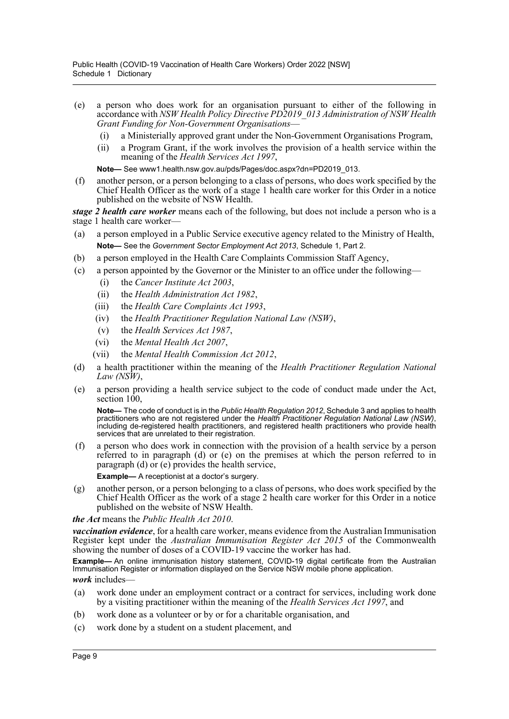- (e) a person who does work for an organisation pursuant to either of the following in accordance with *NSW Health Policy Directive PD2019\_013 Administration of NSW Health Grant Funding for Non-Government Organisations*—
	- (i) a Ministerially approved grant under the Non-Government Organisations Program,
	- (ii) a Program Grant, if the work involves the provision of a health service within the meaning of the *Health Services Act 1997*,

**Note—** See www1.health.nsw.gov.au/pds/Pages/doc.aspx?dn=PD2019\_013.

(f) another person, or a person belonging to a class of persons, who does work specified by the Chief Health Officer as the work of a stage 1 health care worker for this Order in a notice published on the website of NSW Health.

*stage 2 health care worker* means each of the following, but does not include a person who is a stage 1 health care worker—

- (a) a person employed in a Public Service executive agency related to the Ministry of Health, **Note—** See the *Government Sector Employment Act 2013*, Schedule 1, Part 2.
- (b) a person employed in the Health Care Complaints Commission Staff Agency,
- (c) a person appointed by the Governor or the Minister to an office under the following—
	- (i) the *Cancer Institute Act 2003*,
	- (ii) the *Health Administration Act 1982*,
	- (iii) the *Health Care Complaints Act 1993*,
	- (iv) the *Health Practitioner Regulation National Law (NSW)*,
	- (v) the *Health Services Act 1987*,
	- (vi) the *Mental Health Act 2007*,
	- (vii) the *Mental Health Commission Act 2012*,
- (d) a health practitioner within the meaning of the *Health Practitioner Regulation National Law (NSW)*,
- (e) a person providing a health service subject to the code of conduct made under the Act, section  $100$ .

**Note—** The code of conduct is in the *Public Health Regulation 2012*, Schedule 3 and applies to health practitioners who are not registered under the *Health Practitioner Regulation National Law (NSW)*, including de-registered health practitioners, and registered health practitioners who provide health services that are unrelated to their registration.

(f) a person who does work in connection with the provision of a health service by a person referred to in paragraph (d) or (e) on the premises at which the person referred to in paragraph (d) or (e) provides the health service,

**Example—** A receptionist at a doctor's surgery.

(g) another person, or a person belonging to a class of persons, who does work specified by the Chief Health Officer as the work of a stage 2 health care worker for this Order in a notice published on the website of NSW Health.

#### *the Act* means the *Public Health Act 2010*.

*vaccination evidence*, for a health care worker, means evidence from the Australian Immunisation Register kept under the *Australian Immunisation Register Act 2015* of the Commonwealth showing the number of doses of a COVID-19 vaccine the worker has had.

**Example—** An online immunisation history statement, COVID-19 digital certificate from the Australian Immunisation Register or information displayed on the Service NSW mobile phone application. *work* includes—

- (a) work done under an employment contract or a contract for services, including work done by a visiting practitioner within the meaning of the *Health Services Act 1997*, and
- (b) work done as a volunteer or by or for a charitable organisation, and
- (c) work done by a student on a student placement, and